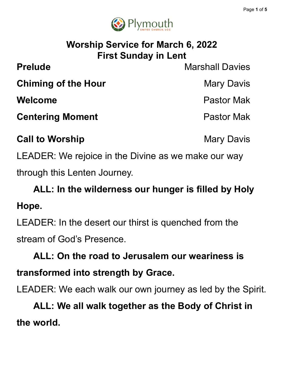

## **Worship Service for March 6, 2022 First Sunday in Lent**

**Prelude** Marshall Davies **Chiming of the Hour** Mary Davis **Welcome** Pastor Mak **Centering Moment Centering Moment** 

LEADER: We rejoice in the Divine as we make our way through this Lenten Journey.

**Call to Worship Mary Davis Mary Davis** 

**ALL: In the wilderness our hunger is filled by Holy Hope.**

LEADER: In the desert our thirst is quenched from the stream of God's Presence.

**ALL: On the road to Jerusalem our weariness is transformed into strength by Grace.**

LEADER: We each walk our own journey as led by the Spirit.

**ALL: We all walk together as the Body of Christ in the world.**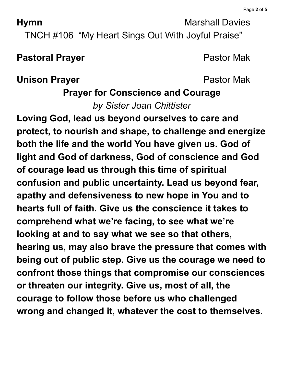**Hymn** Marshall Davies

TNCH #106 "My Heart Sings Out With Joyful Praise"

### **Pastoral Prayer Pastor Mak**

### **Unison Prayer Pastor Mak**

# **Prayer for Conscience and Courage** *by Sister Joan Chittister*

**Loving God, lead us beyond ourselves to care and protect, to nourish and shape, to challenge and energize both the life and the world You have given us. God of light and God of darkness, God of conscience and God of courage lead us through this time of spiritual confusion and public uncertainty. Lead us beyond fear, apathy and defensiveness to new hope in You and to hearts full of faith. Give us the conscience it takes to comprehend what we're facing, to see what we're looking at and to say what we see so that others, hearing us, may also brave the pressure that comes with being out of public step. Give us the courage we need to confront those things that compromise our consciences or threaten our integrity. Give us, most of all, the courage to follow those before us who challenged wrong and changed it, whatever the cost to themselves.**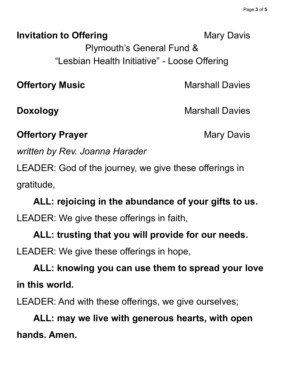**Invitation to Offering Mary Davis** Mary Davis

Plymouth's General Fund & "Lesbian Health Initiative" - Loose Offering

**Offertory Music Marshall Davies** 

**Doxology** Marshall Davies

**Offertory Prayer** Mary Davis

*written by Rev. Joanna Harader*

LEADER: God of the journey, we give these offerings in gratitude,

**ALL: rejoicing in the abundance of your gifts to us.** LEADER: We give these offerings in faith,

**ALL: trusting that you will provide for our needs.** LEADER: We give these offerings in hope,

**ALL: knowing you can use them to spread your love in this world.**

LEADER: And with these offerings, we give ourselves;

**ALL: may we live with generous hearts, with open hands. Amen.**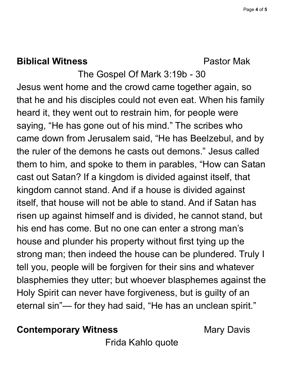### **Biblical Witness** Pastor Mak

The Gospel Of Mark 3:19b - 30 Jesus went home and the crowd came together again, so that he and his disciples could not even eat. When his family heard it, they went out to restrain him, for people were saying, "He has gone out of his mind." The scribes who came down from Jerusalem said, "He has Beelzebul, and by the ruler of the demons he casts out demons." Jesus called them to him, and spoke to them in parables, "How can Satan cast out Satan? If a kingdom is divided against itself, that kingdom cannot stand. And if a house is divided against itself, that house will not be able to stand. And if Satan has risen up against himself and is divided, he cannot stand, but his end has come. But no one can enter a strong man's house and plunder his property without first tying up the strong man; then indeed the house can be plundered. Truly I tell you, people will be forgiven for their sins and whatever blasphemies they utter; but whoever blasphemes against the Holy Spirit can never have forgiveness, but is guilty of an eternal sin"— for they had said, "He has an unclean spirit."

**Contemporary Witness Mary Davis** 

Frida Kahlo quote